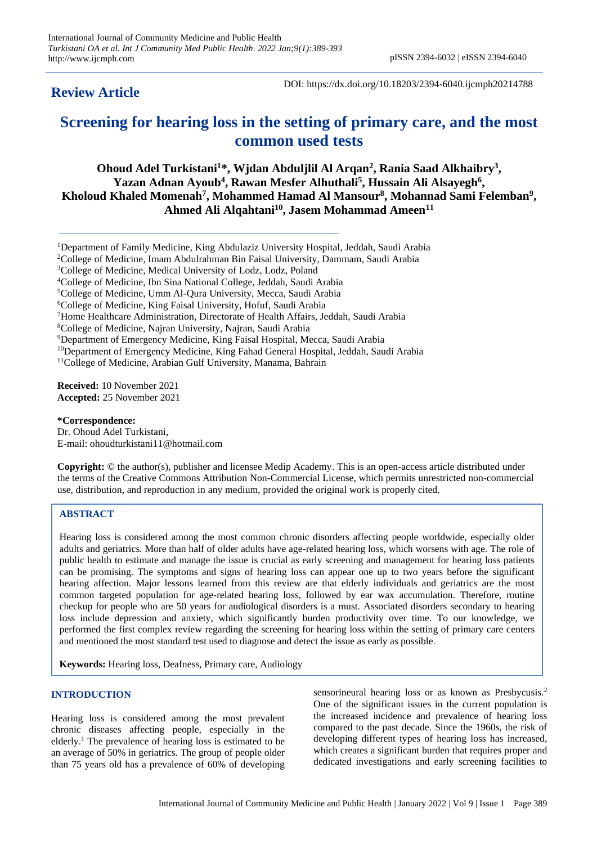# **Review Article**

DOI: https://dx.doi.org/10.18203/2394-6040.ijcmph20214788

# **Screening for hearing loss in the setting of primary care, and the most common used tests**

**Ohoud Adel Turkistani<sup>1</sup>\*, Wjdan Abduljlil Al Arqan<sup>2</sup> , Rania Saad Alkhaibry<sup>3</sup> ,**  Yazan Adnan Ayoub<sup>4</sup>, Rawan Mesfer Alhuthali<sup>5</sup>, Hussain Ali Alsayegh<sup>6</sup>, **Kholoud Khaled Momenah<sup>7</sup> , Mohammed Hamad Al Mansour<sup>8</sup> , Mohannad Sami Felemban<sup>9</sup> , Ahmed Ali Alqahtani<sup>10</sup>, Jasem Mohammad Ameen<sup>11</sup>**

<sup>1</sup>Department of Family Medicine, King Abdulaziz University Hospital, Jeddah, Saudi Arabia

<sup>5</sup>College of Medicine, Umm Al-Qura University, Mecca, Saudi Arabia

<sup>7</sup>Home Healthcare Administration, Directorate of Health Affairs, Jeddah, Saudi Arabia

<sup>10</sup>Department of Emergency Medicine, King Fahad General Hospital, Jeddah, Saudi Arabia

<sup>11</sup>College of Medicine, Arabian Gulf University, Manama, Bahrain

**Received:** 10 November 2021 **Accepted:** 25 November 2021

**\*Correspondence:** Dr. Ohoud Adel Turkistani, E-mail: ohoudturkistani11@hotmail.com

**Copyright:** © the author(s), publisher and licensee Medip Academy. This is an open-access article distributed under the terms of the Creative Commons Attribution Non-Commercial License, which permits unrestricted non-commercial use, distribution, and reproduction in any medium, provided the original work is properly cited.

#### **ABSTRACT**

Hearing loss is considered among the most common chronic disorders affecting people worldwide, especially older adults and geriatrics. More than half of older adults have age-related hearing loss, which worsens with age. The role of public health to estimate and manage the issue is crucial as early screening and management for hearing loss patients can be promising. The symptoms and signs of hearing loss can appear one up to two years before the significant hearing affection. Major lessons learned from this review are that elderly individuals and geriatrics are the most common targeted population for age-related hearing loss, followed by ear wax accumulation. Therefore, routine checkup for people who are 50 years for audiological disorders is a must. Associated disorders secondary to hearing loss include depression and anxiety, which significantly burden productivity over time. To our knowledge, we performed the first complex review regarding the screening for hearing loss within the setting of primary care centers and mentioned the most standard test used to diagnose and detect the issue as early as possible.

**Keywords:** Hearing loss, Deafness, Primary care, Audiology

# **INTRODUCTION**

Hearing loss is considered among the most prevalent chronic diseases affecting people, especially in the elderly.<sup>1</sup> The prevalence of hearing loss is estimated to be an average of 50% in geriatrics. The group of people older than 75 years old has a prevalence of 60% of developing

sensorineural hearing loss or as known as Presbycusis.<sup>2</sup> One of the significant issues in the current population is the increased incidence and prevalence of hearing loss compared to the past decade. Since the 1960s, the risk of developing different types of hearing loss has increased, which creates a significant burden that requires proper and dedicated investigations and early screening facilities to

<sup>2</sup>College of Medicine, Imam Abdulrahman Bin Faisal University, Dammam, Saudi Arabia

<sup>3</sup>College of Medicine, Medical University of Lodz, Lodz, Poland

<sup>4</sup>College of Medicine, Ibn Sina National College, Jeddah, Saudi Arabia

<sup>6</sup>College of Medicine, King Faisal University, Hofuf, Saudi Arabia

<sup>8</sup>College of Medicine, Najran University, Najran, Saudi Arabia

<sup>&</sup>lt;sup>9</sup>Department of Emergency Medicine, King Faisal Hospital, Mecca, Saudi Arabia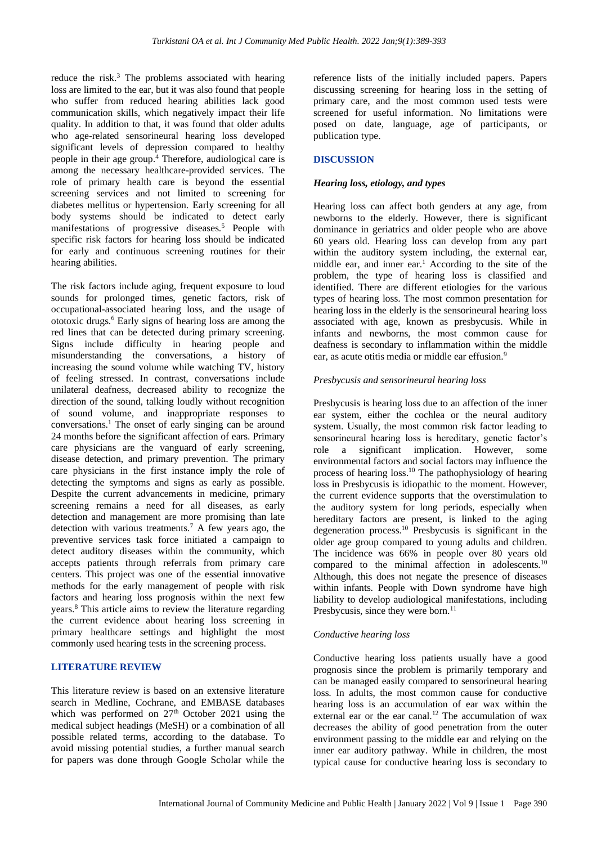reduce the risk.<sup>3</sup> The problems associated with hearing loss are limited to the ear, but it was also found that people who suffer from reduced hearing abilities lack good communication skills, which negatively impact their life quality. In addition to that, it was found that older adults who age-related sensorineural hearing loss developed significant levels of depression compared to healthy people in their age group.<sup>4</sup> Therefore, audiological care is among the necessary healthcare-provided services. The role of primary health care is beyond the essential screening services and not limited to screening for diabetes mellitus or hypertension. Early screening for all body systems should be indicated to detect early manifestations of progressive diseases.<sup>5</sup> People with specific risk factors for hearing loss should be indicated for early and continuous screening routines for their hearing abilities.

The risk factors include aging, frequent exposure to loud sounds for prolonged times, genetic factors, risk of occupational-associated hearing loss, and the usage of ototoxic drugs.<sup>6</sup> Early signs of hearing loss are among the red lines that can be detected during primary screening. Signs include difficulty in hearing people and misunderstanding the conversations, a history of increasing the sound volume while watching TV, history of feeling stressed. In contrast, conversations include unilateral deafness, decreased ability to recognize the direction of the sound, talking loudly without recognition of sound volume, and inappropriate responses to conversations.<sup>1</sup> The onset of early singing can be around 24 months before the significant affection of ears. Primary care physicians are the vanguard of early screening, disease detection, and primary prevention. The primary care physicians in the first instance imply the role of detecting the symptoms and signs as early as possible. Despite the current advancements in medicine, primary screening remains a need for all diseases, as early detection and management are more promising than late detection with various treatments.<sup>7</sup> A few years ago, the preventive services task force initiated a campaign to detect auditory diseases within the community, which accepts patients through referrals from primary care centers. This project was one of the essential innovative methods for the early management of people with risk factors and hearing loss prognosis within the next few years.<sup>8</sup> This article aims to review the literature regarding the current evidence about hearing loss screening in primary healthcare settings and highlight the most commonly used hearing tests in the screening process.

# **LITERATURE REVIEW**

This literature review is based on an extensive literature search in Medline, Cochrane, and EMBASE databases which was performed on  $27<sup>th</sup>$  October 2021 using the medical subject headings (MeSH) or a combination of all possible related terms, according to the database. To avoid missing potential studies, a further manual search for papers was done through Google Scholar while the reference lists of the initially included papers. Papers discussing screening for hearing loss in the setting of primary care, and the most common used tests were screened for useful information. No limitations were posed on date, language, age of participants, or publication type.

# **DISCUSSION**

### *Hearing loss, etiology, and types*

Hearing loss can affect both genders at any age, from newborns to the elderly. However, there is significant dominance in geriatrics and older people who are above 60 years old. Hearing loss can develop from any part within the auditory system including, the external ear, middle ear, and inner ear.<sup>1</sup> According to the site of the problem, the type of hearing loss is classified and identified. There are different etiologies for the various types of hearing loss. The most common presentation for hearing loss in the elderly is the sensorineural hearing loss associated with age, known as presbycusis. While in infants and newborns, the most common cause for deafness is secondary to inflammation within the middle ear, as acute otitis media or middle ear effusion.<sup>9</sup>

#### *Presbycusis and sensorineural hearing loss*

Presbycusis is hearing loss due to an affection of the inner ear system, either the cochlea or the neural auditory system. Usually, the most common risk factor leading to sensorineural hearing loss is hereditary, genetic factor's role a significant implication. However, some environmental factors and social factors may influence the process of hearing loss.<sup>10</sup> The pathophysiology of hearing loss in Presbycusis is idiopathic to the moment. However, the current evidence supports that the overstimulation to the auditory system for long periods, especially when hereditary factors are present, is linked to the aging degeneration process.<sup>10</sup> Presbycusis is significant in the older age group compared to young adults and children. The incidence was 66% in people over 80 years old compared to the minimal affection in adolescents.<sup>10</sup> Although, this does not negate the presence of diseases within infants. People with Down syndrome have high liability to develop audiological manifestations, including Presbycusis, since they were born.<sup>11</sup>

#### *Conductive hearing loss*

Conductive hearing loss patients usually have a good prognosis since the problem is primarily temporary and can be managed easily compared to sensorineural hearing loss. In adults, the most common cause for conductive hearing loss is an accumulation of ear wax within the external ear or the ear canal.<sup>12</sup> The accumulation of wax decreases the ability of good penetration from the outer environment passing to the middle ear and relying on the inner ear auditory pathway. While in children, the most typical cause for conductive hearing loss is secondary to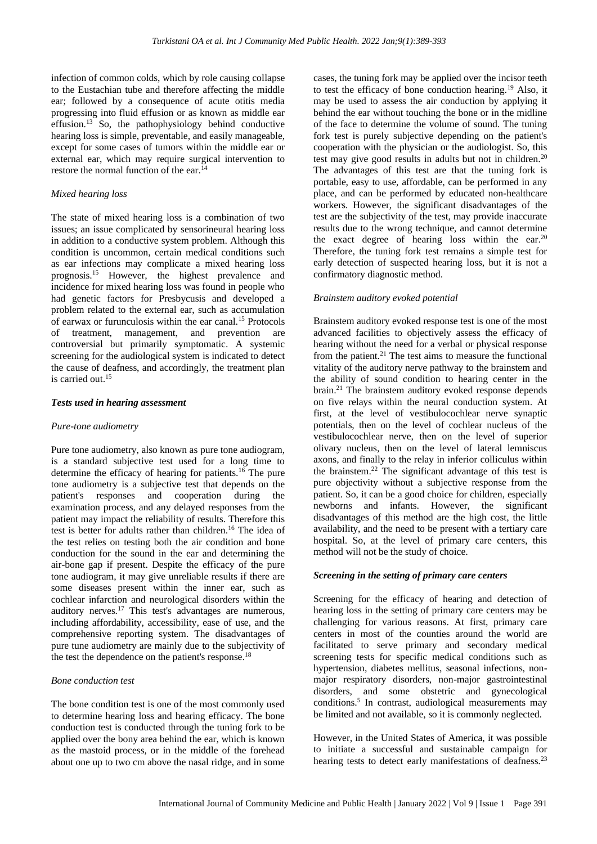infection of common colds, which by role causing collapse to the Eustachian tube and therefore affecting the middle ear; followed by a consequence of acute otitis media progressing into fluid effusion or as known as middle ear effusion.<sup>13</sup> So, the pathophysiology behind conductive hearing loss is simple, preventable, and easily manageable, except for some cases of tumors within the middle ear or external ear, which may require surgical intervention to restore the normal function of the ear. $^{14}$ 

# *Mixed hearing loss*

The state of mixed hearing loss is a combination of two issues; an issue complicated by sensorineural hearing loss in addition to a conductive system problem. Although this condition is uncommon, certain medical conditions such as ear infections may complicate a mixed hearing loss prognosis.<sup>15</sup> However, the highest prevalence and incidence for mixed hearing loss was found in people who had genetic factors for Presbycusis and developed a problem related to the external ear, such as accumulation of earwax or furunculosis within the ear canal.<sup>15</sup> Protocols of treatment, management, and prevention are controversial but primarily symptomatic. A systemic screening for the audiological system is indicated to detect the cause of deafness, and accordingly, the treatment plan is carried out.<sup>15</sup>

#### *Tests used in hearing assessment*

#### *Pure-tone audiometry*

Pure tone audiometry, also known as pure tone audiogram, is a standard subjective test used for a long time to determine the efficacy of hearing for patients.<sup>16</sup> The pure tone audiometry is a subjective test that depends on the patient's responses and cooperation during the examination process, and any delayed responses from the patient may impact the reliability of results. Therefore this test is better for adults rather than children.<sup>16</sup> The idea of the test relies on testing both the air condition and bone conduction for the sound in the ear and determining the air-bone gap if present. Despite the efficacy of the pure tone audiogram, it may give unreliable results if there are some diseases present within the inner ear, such as cochlear infarction and neurological disorders within the auditory nerves.<sup>17</sup> This test's advantages are numerous, including affordability, accessibility, ease of use, and the comprehensive reporting system. The disadvantages of pure tune audiometry are mainly due to the subjectivity of the test the dependence on the patient's response.<sup>18</sup>

#### *Bone conduction test*

The bone condition test is one of the most commonly used to determine hearing loss and hearing efficacy. The bone conduction test is conducted through the tuning fork to be applied over the bony area behind the ear, which is known as the mastoid process, or in the middle of the forehead about one up to two cm above the nasal ridge, and in some

cases, the tuning fork may be applied over the incisor teeth to test the efficacy of bone conduction hearing.<sup>19</sup> Also, it may be used to assess the air conduction by applying it behind the ear without touching the bone or in the midline of the face to determine the volume of sound. The tuning fork test is purely subjective depending on the patient's cooperation with the physician or the audiologist. So, this test may give good results in adults but not in children.<sup>20</sup> The advantages of this test are that the tuning fork is portable, easy to use, affordable, can be performed in any place, and can be performed by educated non-healthcare workers. However, the significant disadvantages of the test are the subjectivity of the test, may provide inaccurate results due to the wrong technique, and cannot determine the exact degree of hearing loss within the ear. $20$ Therefore, the tuning fork test remains a simple test for early detection of suspected hearing loss, but it is not a confirmatory diagnostic method.

#### *Brainstem auditory evoked potential*

Brainstem auditory evoked response test is one of the most advanced facilities to objectively assess the efficacy of hearing without the need for a verbal or physical response from the patient.<sup>21</sup> The test aims to measure the functional vitality of the auditory nerve pathway to the brainstem and the ability of sound condition to hearing center in the brain.<sup>21</sup> The brainstem auditory evoked response depends on five relays within the neural conduction system. At first, at the level of vestibulocochlear nerve synaptic potentials, then on the level of cochlear nucleus of the vestibulocochlear nerve, then on the level of superior olivary nucleus, then on the level of lateral lemniscus axons, and finally to the relay in inferior colliculus within the brainstem.<sup>22</sup> The significant advantage of this test is pure objectivity without a subjective response from the patient. So, it can be a good choice for children, especially newborns and infants. However, the significant disadvantages of this method are the high cost, the little availability, and the need to be present with a tertiary care hospital. So, at the level of primary care centers, this method will not be the study of choice.

#### *Screening in the setting of primary care centers*

Screening for the efficacy of hearing and detection of hearing loss in the setting of primary care centers may be challenging for various reasons. At first, primary care centers in most of the counties around the world are facilitated to serve primary and secondary medical screening tests for specific medical conditions such as hypertension, diabetes mellitus, seasonal infections, nonmajor respiratory disorders, non-major gastrointestinal disorders, and some obstetric and gynecological conditions.<sup>5</sup> In contrast, audiological measurements may be limited and not available, so it is commonly neglected.

However, in the United States of America, it was possible to initiate a successful and sustainable campaign for hearing tests to detect early manifestations of deafness.<sup>23</sup>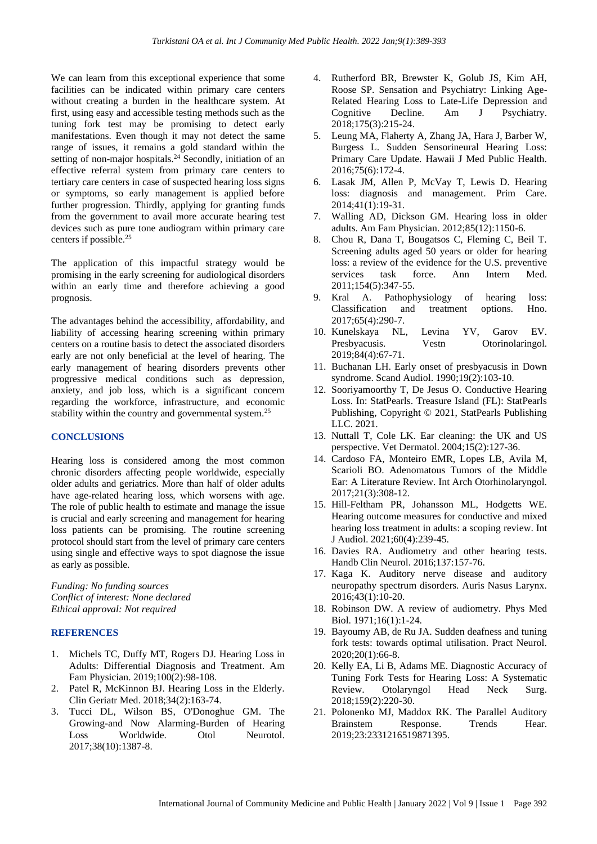We can learn from this exceptional experience that some facilities can be indicated within primary care centers without creating a burden in the healthcare system. At first, using easy and accessible testing methods such as the tuning fork test may be promising to detect early manifestations. Even though it may not detect the same range of issues, it remains a gold standard within the setting of non-major hospitals.<sup>24</sup> Secondly, initiation of an effective referral system from primary care centers to tertiary care centers in case of suspected hearing loss signs or symptoms, so early management is applied before further progression. Thirdly, applying for granting funds from the government to avail more accurate hearing test devices such as pure tone audiogram within primary care centers if possible.<sup>25</sup>

The application of this impactful strategy would be promising in the early screening for audiological disorders within an early time and therefore achieving a good prognosis.

The advantages behind the accessibility, affordability, and liability of accessing hearing screening within primary centers on a routine basis to detect the associated disorders early are not only beneficial at the level of hearing. The early management of hearing disorders prevents other progressive medical conditions such as depression, anxiety, and job loss, which is a significant concern regarding the workforce, infrastructure, and economic stability within the country and governmental system.<sup>25</sup>

# **CONCLUSIONS**

Hearing loss is considered among the most common chronic disorders affecting people worldwide, especially older adults and geriatrics. More than half of older adults have age-related hearing loss, which worsens with age. The role of public health to estimate and manage the issue is crucial and early screening and management for hearing loss patients can be promising. The routine screening protocol should start from the level of primary care centers using single and effective ways to spot diagnose the issue as early as possible.

*Funding: No funding sources Conflict of interest: None declared Ethical approval: Not required*

# **REFERENCES**

- 1. Michels TC, Duffy MT, Rogers DJ. Hearing Loss in Adults: Differential Diagnosis and Treatment. Am Fam Physician. 2019;100(2):98-108.
- 2. Patel R, McKinnon BJ. Hearing Loss in the Elderly. Clin Geriatr Med. 2018;34(2):163-74.
- 3. Tucci DL, Wilson BS, O'Donoghue GM. The Growing-and Now Alarming-Burden of Hearing Loss Worldwide. Otol Neurotol. 2017;38(10):1387-8.
- 4. Rutherford BR, Brewster K, Golub JS, Kim AH, Roose SP. Sensation and Psychiatry: Linking Age-Related Hearing Loss to Late-Life Depression and Cognitive Decline. Am J Psychiatry. 2018;175(3):215-24.
- 5. Leung MA, Flaherty A, Zhang JA, Hara J, Barber W, Burgess L. Sudden Sensorineural Hearing Loss: Primary Care Update. Hawaii J Med Public Health. 2016;75(6):172-4.
- 6. Lasak JM, Allen P, McVay T, Lewis D. Hearing loss: diagnosis and management. Prim Care. 2014;41(1):19-31.
- 7. Walling AD, Dickson GM. Hearing loss in older adults. Am Fam Physician. 2012;85(12):1150-6.
- 8. Chou R, Dana T, Bougatsos C, Fleming C, Beil T. Screening adults aged 50 years or older for hearing loss: a review of the evidence for the U.S. preventive services task force. Ann Intern Med. 2011;154(5):347-55.
- 9. Kral A. Pathophysiology of hearing loss: Classification and treatment options. Hno. 2017;65(4):290-7.
- 10. Kunelskaya NL, Levina YV, Garov EV. Presbyacusis. Vestn Otorinolaringol. 2019;84(4):67-71.
- 11. Buchanan LH. Early onset of presbyacusis in Down syndrome. Scand Audiol. 1990;19(2):103-10.
- 12. Sooriyamoorthy T, De Jesus O. Conductive Hearing Loss. In: StatPearls. Treasure Island (FL): StatPearls Publishing, Copyright © 2021, StatPearls Publishing LLC. 2021.
- 13. Nuttall T, Cole LK. Ear cleaning: the UK and US perspective. Vet Dermatol. 2004;15(2):127-36.
- 14. Cardoso FA, Monteiro EMR, Lopes LB, Avila M, Scarioli BO. Adenomatous Tumors of the Middle Ear: A Literature Review. Int Arch Otorhinolaryngol. 2017;21(3):308-12.
- 15. Hill-Feltham PR, Johansson ML, Hodgetts WE. Hearing outcome measures for conductive and mixed hearing loss treatment in adults: a scoping review. Int J Audiol. 2021;60(4):239-45.
- 16. Davies RA. Audiometry and other hearing tests. Handb Clin Neurol. 2016;137:157-76.
- 17. Kaga K. Auditory nerve disease and auditory neuropathy spectrum disorders. Auris Nasus Larynx. 2016;43(1):10-20.
- 18. Robinson DW. A review of audiometry. Phys Med Biol. 1971;16(1):1-24.
- 19. Bayoumy AB, de Ru JA. Sudden deafness and tuning fork tests: towards optimal utilisation. Pract Neurol. 2020;20(1):66-8.
- 20. Kelly EA, Li B, Adams ME. Diagnostic Accuracy of Tuning Fork Tests for Hearing Loss: A Systematic Review. Otolaryngol Head Neck Surg. 2018;159(2):220-30.
- 21. Polonenko MJ, Maddox RK. The Parallel Auditory Brainstem Response. Trends Hear. 2019;23:2331216519871395.